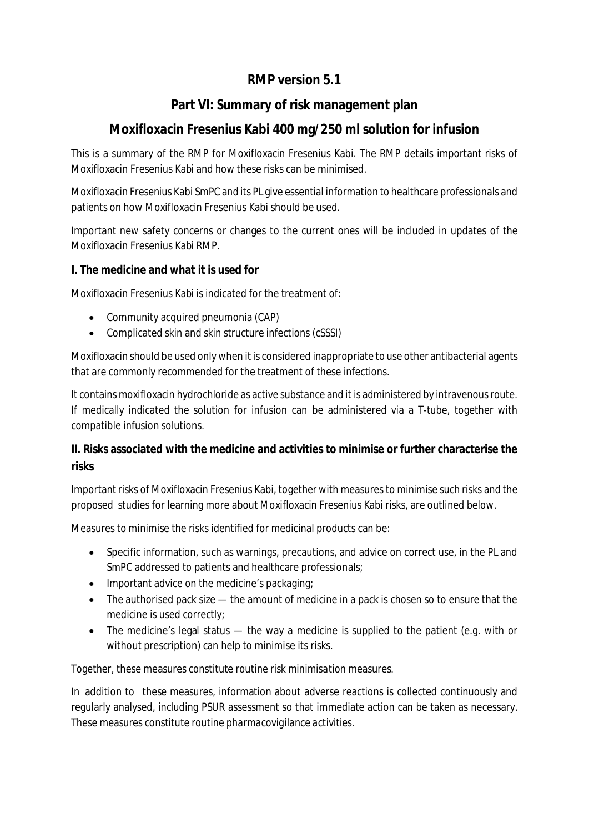# **RMP version 5.1**

### **Part VI: Summary of risk management plan**

# **Moxifloxacin Fresenius Kabi 400 mg/250 ml solution for infusion**

This is a summary of the RMP for Moxifloxacin Fresenius Kabi. The RMP details important risks of Moxifloxacin Fresenius Kabi and how these risks can be minimised.

Moxifloxacin Fresenius Kabi SmPC and its PL give essential information to healthcare professionals and patients on how Moxifloxacin Fresenius Kabi should be used.

Important new safety concerns or changes to the current ones will be included in updates of the Moxifloxacin Fresenius Kabi RMP.

**I. The medicine and what it is used for**

Moxifloxacin Fresenius Kabi is indicated for the treatment of:

- Community acquired pneumonia (CAP)
- Complicated skin and skin structure infections (cSSSI)

Moxifloxacin should be used only when it is considered inappropriate to use other antibacterial agents that are commonly recommended for the treatment of these infections.

It contains moxifloxacin hydrochloride as active substance and it is administered by intravenous route. If medically indicated the solution for infusion can be administered via a T-tube, together with compatible infusion solutions.

**II. Risks associated with the medicine and activities to minimise or further characterise the risks**

Important risks of Moxifloxacin Fresenius Kabi, together with measures to minimise such risks and the proposed studies for learning more about Moxifloxacin Fresenius Kabi risks, are outlined below.

Measures to minimise the risks identified for medicinal products can be:

- Specific information, such as warnings, precautions, and advice on correct use, in the PL and SmPC addressed to patients and healthcare professionals;
- Important advice on the medicine's packaging;
- The authorised pack size the amount of medicine in a pack is chosen so to ensure that the medicine is used correctly;
- The medicine's legal status the way a medicine is supplied to the patient (e.g. with or without prescription) can help to minimise its risks.

Together, these measures constitute *routine risk minimisation* measures.

In addition to these measures, information about adverse reactions is collected continuously and regularly analysed, including PSUR assessment so that immediate action can be taken as necessary. These measures constitute *routine pharmacovigilance activities*.